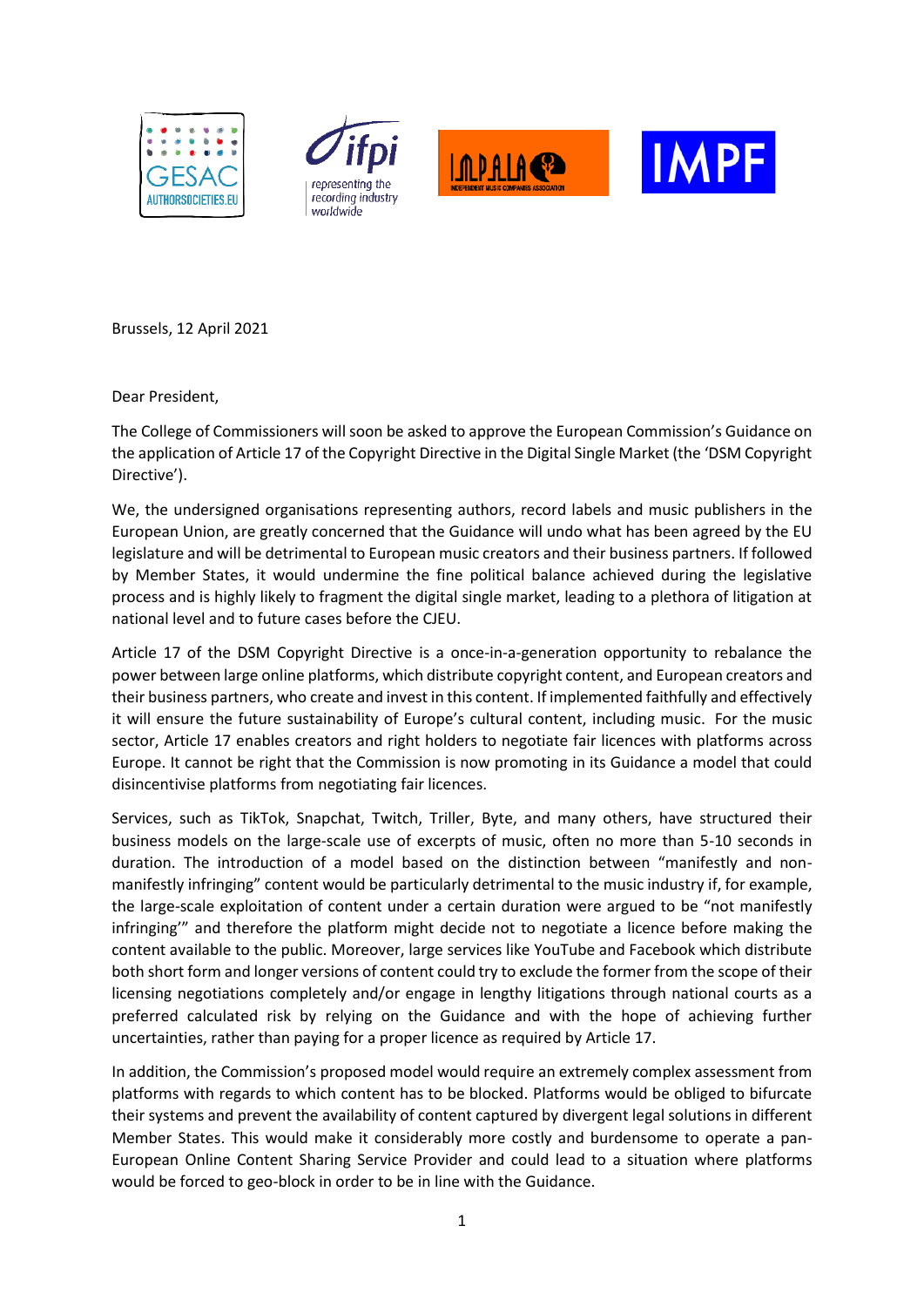







Brussels, 12 April 2021

Dear President,

The College of Commissioners will soon be asked to approve the European Commission's Guidance on the application of Article 17 of the Copyright Directive in the Digital Single Market (the 'DSM Copyright Directive').

We, the undersigned organisations representing authors, record labels and music publishers in the European Union, are greatly concerned that the Guidance will undo what has been agreed by the EU legislature and will be detrimental to European music creators and their business partners. If followed by Member States, it would undermine the fine political balance achieved during the legislative process and is highly likely to fragment the digital single market, leading to a plethora of litigation at national level and to future cases before the CJEU.

Article 17 of the DSM Copyright Directive is a once-in-a-generation opportunity to rebalance the power between large online platforms, which distribute copyright content, and European creators and their business partners, who create and invest in this content. If implemented faithfully and effectively it will ensure the future sustainability of Europe's cultural content, including music. For the music sector, Article 17 enables creators and right holders to negotiate fair licences with platforms across Europe. It cannot be right that the Commission is now promoting in its Guidance a model that could disincentivise platforms from negotiating fair licences.

Services, such as TikTok, Snapchat, Twitch, Triller, Byte, and many others, have structured their business models on the large-scale use of excerpts of music, often no more than 5-10 seconds in duration. The introduction of a model based on the distinction between "manifestly and nonmanifestly infringing" content would be particularly detrimental to the music industry if, for example, the large-scale exploitation of content under a certain duration were argued to be "not manifestly infringing'" and therefore the platform might decide not to negotiate a licence before making the content available to the public. Moreover, large services like YouTube and Facebook which distribute both short form and longer versions of content could try to exclude the former from the scope of their licensing negotiations completely and/or engage in lengthy litigations through national courts as a preferred calculated risk by relying on the Guidance and with the hope of achieving further uncertainties, rather than paying for a proper licence as required by Article 17.

In addition, the Commission's proposed model would require an extremely complex assessment from platforms with regards to which content has to be blocked. Platforms would be obliged to bifurcate their systems and prevent the availability of content captured by divergent legal solutions in different Member States. This would make it considerably more costly and burdensome to operate a pan-European Online Content Sharing Service Provider and could lead to a situation where platforms would be forced to geo-block in order to be in line with the Guidance.